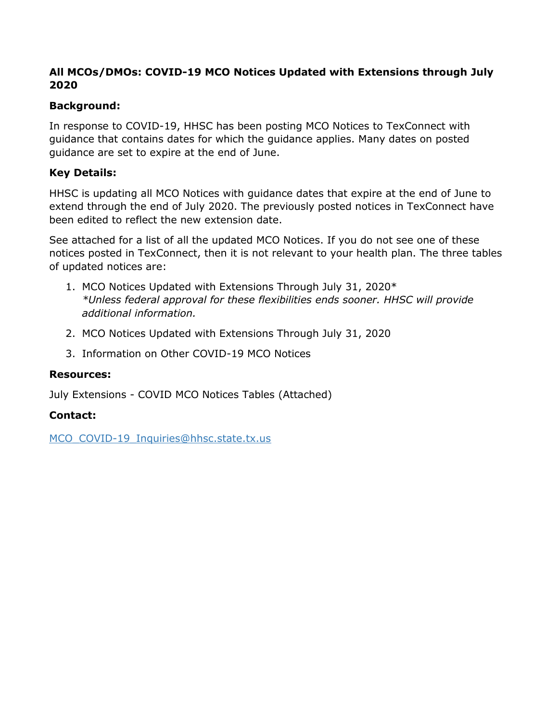## **All MCOs/DMOs: COVID-19 MCO Notices Updated with Extensions through July 2020**

## **Background:**

In response to COVID-19, HHSC has been posting MCO Notices to TexConnect with guidance that contains dates for which the guidance applies. Many dates on posted guidance are set to expire at the end of June.

## **Key Details:**

HHSC is updating all MCO Notices with guidance dates that expire at the end of June to extend through the end of July 2020. The previously posted notices in TexConnect have been edited to reflect the new extension date.

See attached for a list of all the updated MCO Notices. If you do not see one of these notices posted in TexConnect, then it is not relevant to your health plan. The three tables of updated notices are:

- 1. MCO Notices Updated with Extensions Through July 31, 2020\* *\*Unless federal approval for these flexibilities ends sooner. HHSC will provide additional information.*
- 2. MCO Notices Updated with Extensions Through July 31, 2020
- 3. Information on Other COVID-19 MCO Notices

#### **Resources:**

July Extensions - COVID MCO Notices Tables (Attached)

## **Contact:**

MCO\_COVID-19\_Inquiries@hhsc.state.tx.us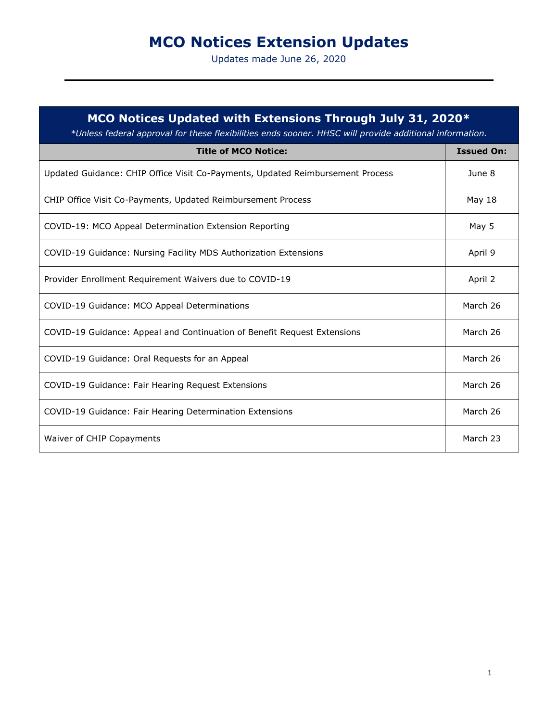# **MCO Notices Extension Updates**

Updates made June 26, 2020

| MCO Notices Updated with Extensions Through July 31, 2020*<br>*Unless federal approval for these flexibilities ends sooner. HHSC will provide additional information. |                   |
|-----------------------------------------------------------------------------------------------------------------------------------------------------------------------|-------------------|
| <b>Title of MCO Notice:</b>                                                                                                                                           | <b>Issued On:</b> |
| Updated Guidance: CHIP Office Visit Co-Payments, Updated Reimbursement Process                                                                                        | June 8            |
| CHIP Office Visit Co-Payments, Updated Reimbursement Process                                                                                                          | May 18            |
| COVID-19: MCO Appeal Determination Extension Reporting                                                                                                                | May 5             |
| COVID-19 Guidance: Nursing Facility MDS Authorization Extensions                                                                                                      | April 9           |
| Provider Enrollment Requirement Waivers due to COVID-19                                                                                                               | April 2           |
| COVID-19 Guidance: MCO Appeal Determinations                                                                                                                          | March 26          |
| COVID-19 Guidance: Appeal and Continuation of Benefit Request Extensions                                                                                              | March 26          |
| COVID-19 Guidance: Oral Requests for an Appeal                                                                                                                        | March 26          |
| COVID-19 Guidance: Fair Hearing Request Extensions                                                                                                                    | March 26          |
| COVID-19 Guidance: Fair Hearing Determination Extensions                                                                                                              | March 26          |
| Waiver of CHIP Copayments                                                                                                                                             | March 23          |